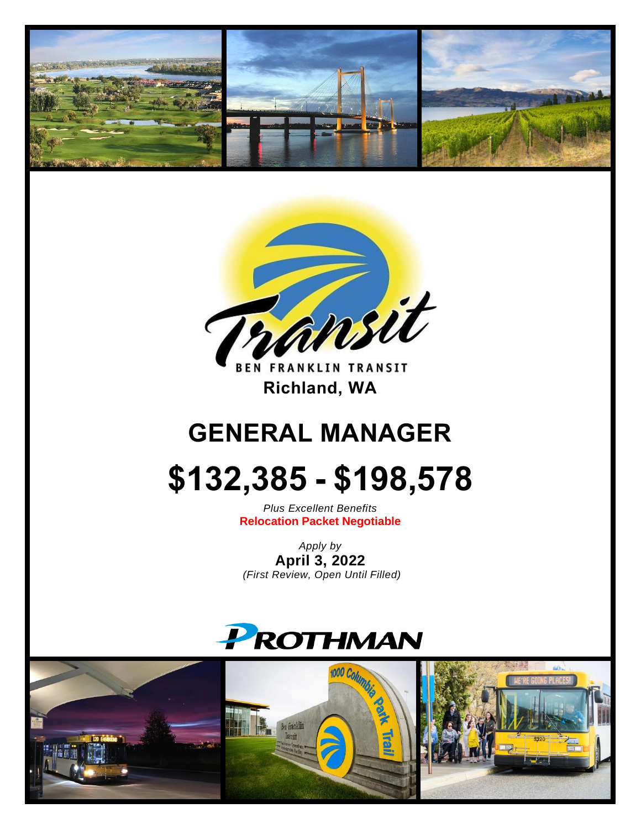



**BEN FRANKLIN TRANSIT** **Richland, WA** 

# **GENERAL MANAGER**

# **\$132,385 - \$198,578**

*Plus Excellent Benefits* **Relocation Packet Negotiable**

*Apply by* **April 3, 2022** *(First Review, Open Until Filled)*



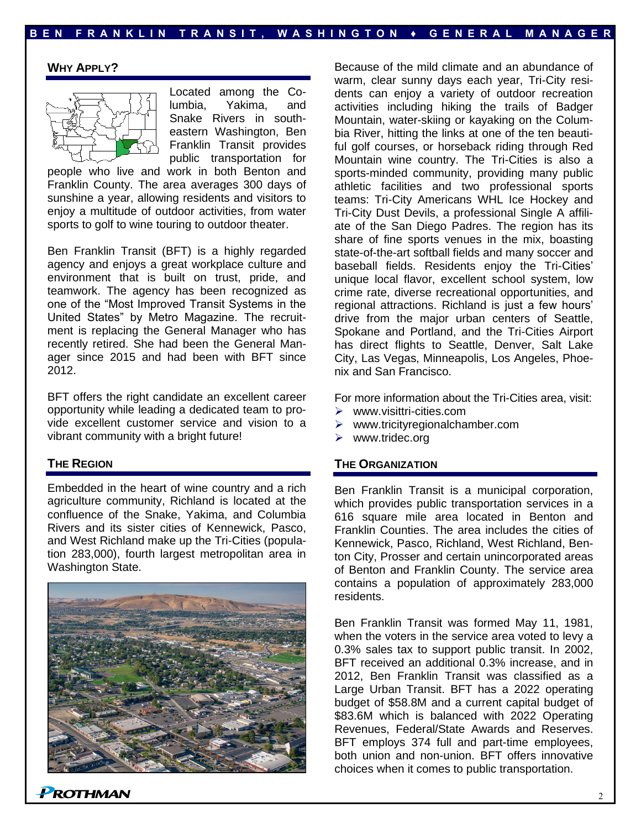#### **WHY APPLY?**



Located among the Columbia, Yakima, and Snake Rivers in southeastern Washington, Ben Franklin Transit provides public transportation for

people who live and work in both Benton and Franklin County. The area averages 300 days of sunshine a year, allowing residents and visitors to enjoy a multitude of outdoor activities, from water sports to golf to wine touring to outdoor theater.

Ben Franklin Transit (BFT) is a highly regarded agency and enjoys a great workplace culture and environment that is built on trust, pride, and teamwork. The agency has been recognized as one of the "Most Improved Transit Systems in the United States" by Metro Magazine. The recruitment is replacing the General Manager who has recently retired. She had been the General Manager since 2015 and had been with BFT since 2012.

BFT offers the right candidate an excellent career opportunity while leading a dedicated team to provide excellent customer service and vision to a vibrant community with a bright future!

#### **THE REGION**

Embedded in the heart of wine country and a rich agriculture community, Richland is located at the confluence of the Snake, Yakima, and Columbia Rivers and its sister cities of Kennewick, Pasco, and West Richland make up the Tri-Cities (population 283,000), fourth largest metropolitan area in Washington State.



Because of the mild climate and an abundance of warm, clear sunny days each year, Tri-City residents can enjoy a variety of outdoor recreation activities including hiking the trails of Badger Mountain, water-skiing or kayaking on the Columbia River, hitting the links at one of the ten beautiful golf courses, or horseback riding through Red Mountain wine country. The Tri-Cities is also a sports-minded community, providing many public athletic facilities and two professional sports teams: Tri-City Americans WHL Ice Hockey and Tri-City Dust Devils, a professional Single A affiliate of the San Diego Padres. The region has its share of fine sports venues in the mix, boasting state-of-the-art softball fields and many soccer and baseball fields. Residents enjoy the Tri-Cities' unique local flavor, excellent school system, low crime rate, diverse recreational opportunities, and regional attractions. Richland is just a few hours' drive from the major urban centers of Seattle, Spokane and Portland, and the Tri-Cities Airport has direct flights to Seattle, Denver, Salt Lake City, Las Vegas, Minneapolis, Los Angeles, Phoenix and San Francisco.

For more information about the Tri-Cities area, visit:

- ➢ www.visittri-cities.com
- ➢ www.tricityregionalchamber.com
- ➢ www.tridec.org

#### **THE ORGANIZATION**

Ben Franklin Transit is a municipal corporation, which provides public transportation services in a 616 square mile area located in Benton and Franklin Counties. The area includes the cities of Kennewick, Pasco, Richland, West Richland, Benton City, Prosser and certain unincorporated areas of Benton and Franklin County. The service area contains a population of approximately 283,000 residents.

Ben Franklin Transit was formed May 11, 1981, when the voters in the service area voted to levy a 0.3% sales tax to support public transit. In 2002, BFT received an additional 0.3% increase, and in 2012, Ben Franklin Transit was classified as a Large Urban Transit. BFT has a 2022 operating budget of \$58.8M and a current capital budget of \$83.6M which is balanced with 2022 Operating Revenues, Federal/State Awards and Reserves. BFT employs 374 full and part-time employees, both union and non-union. BFT offers innovative choices when it comes to public transportation.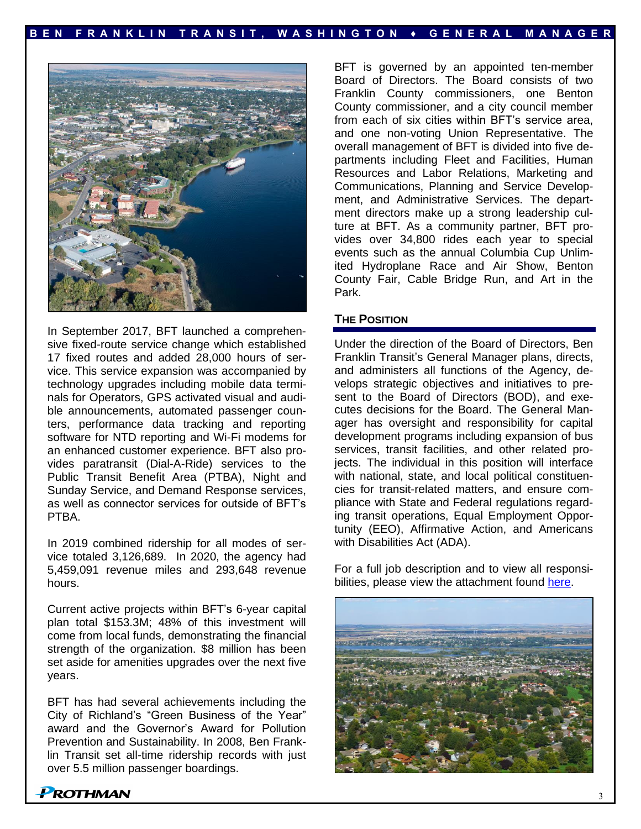

In September 2017, BFT launched a comprehensive fixed-route service change which established 17 fixed routes and added 28,000 hours of service. This service expansion was accompanied by technology upgrades including mobile data terminals for Operators, GPS activated visual and audible announcements, automated passenger counters, performance data tracking and reporting software for NTD reporting and Wi-Fi modems for an enhanced customer experience. BFT also provides paratransit (Dial-A-Ride) services to the Public Transit Benefit Area (PTBA), Night and Sunday Service, and Demand Response services, as well as connector services for outside of BFT's PTBA.

In 2019 combined ridership for all modes of service totaled 3,126,689. In 2020, the agency had 5,459,091 revenue miles and 293,648 revenue hours.

Current active projects within BFT's 6-year capital plan total \$153.3M; 48% of this investment will come from local funds, demonstrating the financial strength of the organization. \$8 million has been set aside for amenities upgrades over the next five years.

BFT has had several achievements including the City of Richland's "Green Business of the Year" award and the Governor's Award for Pollution Prevention and Sustainability. In 2008, Ben Franklin Transit set all-time ridership records with just over 5.5 million passenger boardings.

BFT is governed by an appointed ten-member Board of Directors. The Board consists of two Franklin County commissioners, one Benton County commissioner, and a city council member from each of six cities within BFT's service area, and one non-voting Union Representative. The overall management of BFT is divided into five departments including Fleet and Facilities, Human Resources and Labor Relations, Marketing and Communications, Planning and Service Development, and Administrative Services. The department directors make up a strong leadership culture at BFT. As a community partner, BFT provides over 34,800 rides each year to special events such as the annual Columbia Cup Unlimited Hydroplane Race and Air Show, Benton County Fair, Cable Bridge Run, and Art in the Park.

#### **THE POSITION**

Under the direction of the Board of Directors, Ben Franklin Transit's General Manager plans, directs, and administers all functions of the Agency, develops strategic objectives and initiatives to present to the Board of Directors (BOD), and executes decisions for the Board. The General Manager has oversight and responsibility for capital development programs including expansion of bus services, transit facilities, and other related projects. The individual in this position will interface with national, state, and local political constituencies for transit-related matters, and ensure compliance with State and Federal regulations regarding transit operations, Equal Employment Opportunity (EEO), Affirmative Action, and Americans with Disabilities Act (ADA).

For a full job description and to view all responsibilities, please view the attachment found [here.](https://www.prothman.com/JobFiles/2946/General%20Manager%20Job%20Description.pdf)

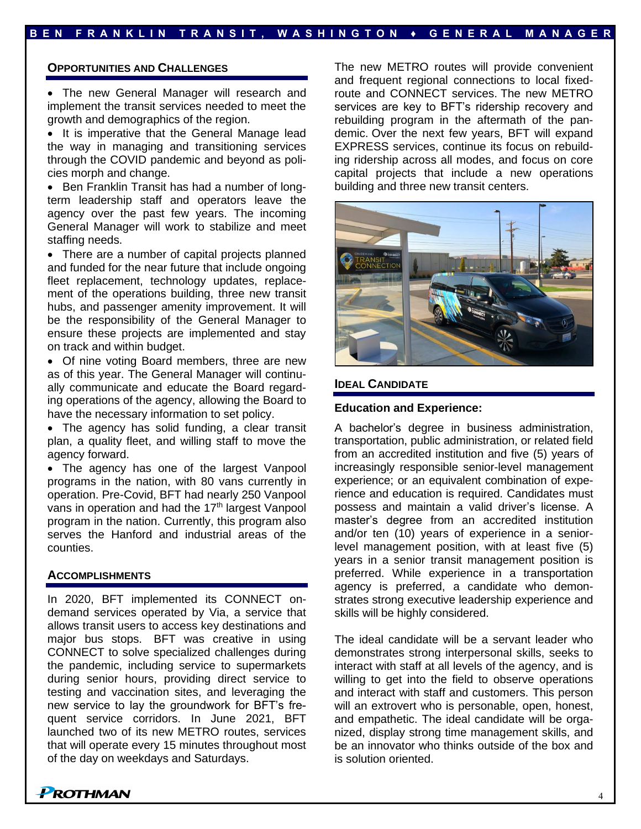## **B E N F R A N K L I N T R A N S I T , W A S H I N G T O N ♦ G E N E R A L M A N A G E R**

#### **OPPORTUNITIES AND CHALLENGES**

• The new General Manager will research and implement the transit services needed to meet the growth and demographics of the region.

• It is imperative that the General Manage lead the way in managing and transitioning services through the COVID pandemic and beyond as policies morph and change.

• Ben Franklin Transit has had a number of longterm leadership staff and operators leave the agency over the past few years. The incoming General Manager will work to stabilize and meet staffing needs.

• There are a number of capital projects planned and funded for the near future that include ongoing fleet replacement, technology updates, replacement of the operations building, three new transit hubs, and passenger amenity improvement. It will be the responsibility of the General Manager to ensure these projects are implemented and stay on track and within budget.

• Of nine voting Board members, three are new as of this year. The General Manager will continually communicate and educate the Board regarding operations of the agency, allowing the Board to have the necessary information to set policy.

• The agency has solid funding, a clear transit plan, a quality fleet, and willing staff to move the agency forward.

• The agency has one of the largest Vanpool programs in the nation, with 80 vans currently in operation. Pre-Covid, BFT had nearly 250 Vanpool vans in operation and had the 17<sup>th</sup> largest Vanpool program in the nation. Currently, this program also serves the Hanford and industrial areas of the counties.

## **ACCOMPLISHMENTS**

In 2020, BFT implemented its CONNECT ondemand services operated by Via, a service that allows transit users to access key destinations and major bus stops. BFT was creative in using CONNECT to solve specialized challenges during the pandemic, including service to supermarkets during senior hours, providing direct service to testing and vaccination sites, and leveraging the new service to lay the groundwork for BFT's frequent service corridors. In June 2021, BFT launched two of its new METRO routes, services that will operate every 15 minutes throughout most of the day on weekdays and Saturdays.

The new METRO routes will provide convenient and frequent regional connections to local fixedroute and CONNECT services. The new METRO services are key to BFT's ridership recovery and rebuilding program in the aftermath of the pandemic. Over the next few years, BFT will expand EXPRESS services, continue its focus on rebuilding ridership across all modes, and focus on core capital projects that include a new operations building and three new transit centers.



#### **IDEAL CANDIDATE**

#### **Education and Experience:**

A bachelor's degree in business administration, transportation, public administration, or related field from an accredited institution and five (5) years of increasingly responsible senior-level management experience; or an equivalent combination of experience and education is required. Candidates must possess and maintain a valid driver's license. A master's degree from an accredited institution and/or ten (10) years of experience in a seniorlevel management position, with at least five (5) years in a senior transit management position is preferred. While experience in a transportation agency is preferred, a candidate who demonstrates strong executive leadership experience and skills will be highly considered.

The ideal candidate will be a servant leader who demonstrates strong interpersonal skills, seeks to interact with staff at all levels of the agency, and is willing to get into the field to observe operations and interact with staff and customers. This person will an extrovert who is personable, open, honest, and empathetic. The ideal candidate will be organized, display strong time management skills, and be an innovator who thinks outside of the box and is solution oriented.